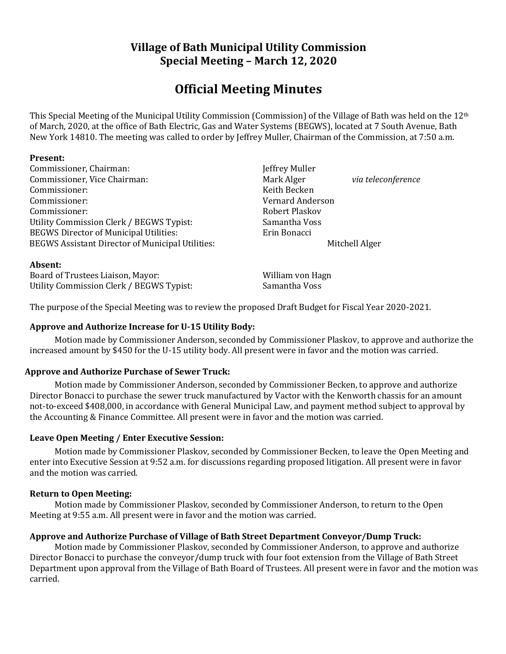# **Village of Bath Municipal Utility Commission Special Meeting – March 12, 2020**

# **Official Meeting Minutes**

This Special Meeting of the Municipal Utility Commission (Commission) of the Village of Bath was held on the 12th of March, 2020, at the office of Bath Electric, Gas and Water Systems (BEGWS), located at 7 South Avenue, Bath New York 14810. The meeting was called to order by Jeffrey Muller, Chairman of the Commission, at 7:50 a.m.

# **Present:**

Commissioner, Chairman: Jeffrey Muller Commissioner, Vice Chairman: **Mark Alger** *via teleconference via teleconference* Commissioner: Keith Becken Commissioner: Vernard Anderson Commissioner: Robert Plaskov Utility Commission Clerk / BEGWS Typist: Samantha Voss BEGWS Director of Municipal Utilities: Erin Bonacci BEGWS Assistant Director of Municipal Utilities: Mitchell Alger

#### **Absent:**

Board of Trustees Liaison, Mayor: William von Hagn Utility Commission Clerk / BEGWS Typist: Samantha Voss

The purpose of the Special Meeting was to review the proposed Draft Budget for Fiscal Year 2020-2021.

# **Approve and Authorize Increase for U-15 Utility Body:**

Motion made by Commissioner Anderson, seconded by Commissioner Plaskov, to approve and authorize the increased amount by \$450 for the U-15 utility body. All present were in favor and the motion was carried.

# **Approve and Authorize Purchase of Sewer Truck:**

Motion made by Commissioner Anderson, seconded by Commissioner Becken, to approve and authorize Director Bonacci to purchase the sewer truck manufactured by Vactor with the Kenworth chassis for an amount not-to-exceed \$408,000, in accordance with General Municipal Law, and payment method subject to approval by the Accounting & Finance Committee. All present were in favor and the motion was carried.

# **Leave Open Meeting / Enter Executive Session:**

Motion made by Commissioner Plaskov, seconded by Commissioner Becken, to leave the Open Meeting and enter into Executive Session at 9:52 a.m. for discussions regarding proposed litigation. All present were in favor and the motion was carried.

#### **Return to Open Meeting:**

Motion made by Commissioner Plaskov, seconded by Commissioner Anderson, to return to the Open Meeting at 9:55 a.m. All present were in favor and the motion was carried.

# **Approve and Authorize Purchase of Village of Bath Street Department Conveyor/Dump Truck:**

Motion made by Commissioner Plaskov, seconded by Commissioner Anderson, to approve and authorize Director Bonacci to purchase the conveyor/dump truck with four foot extension from the Village of Bath Street Department upon approval from the Village of Bath Board of Trustees. All present were in favor and the motion was carried.